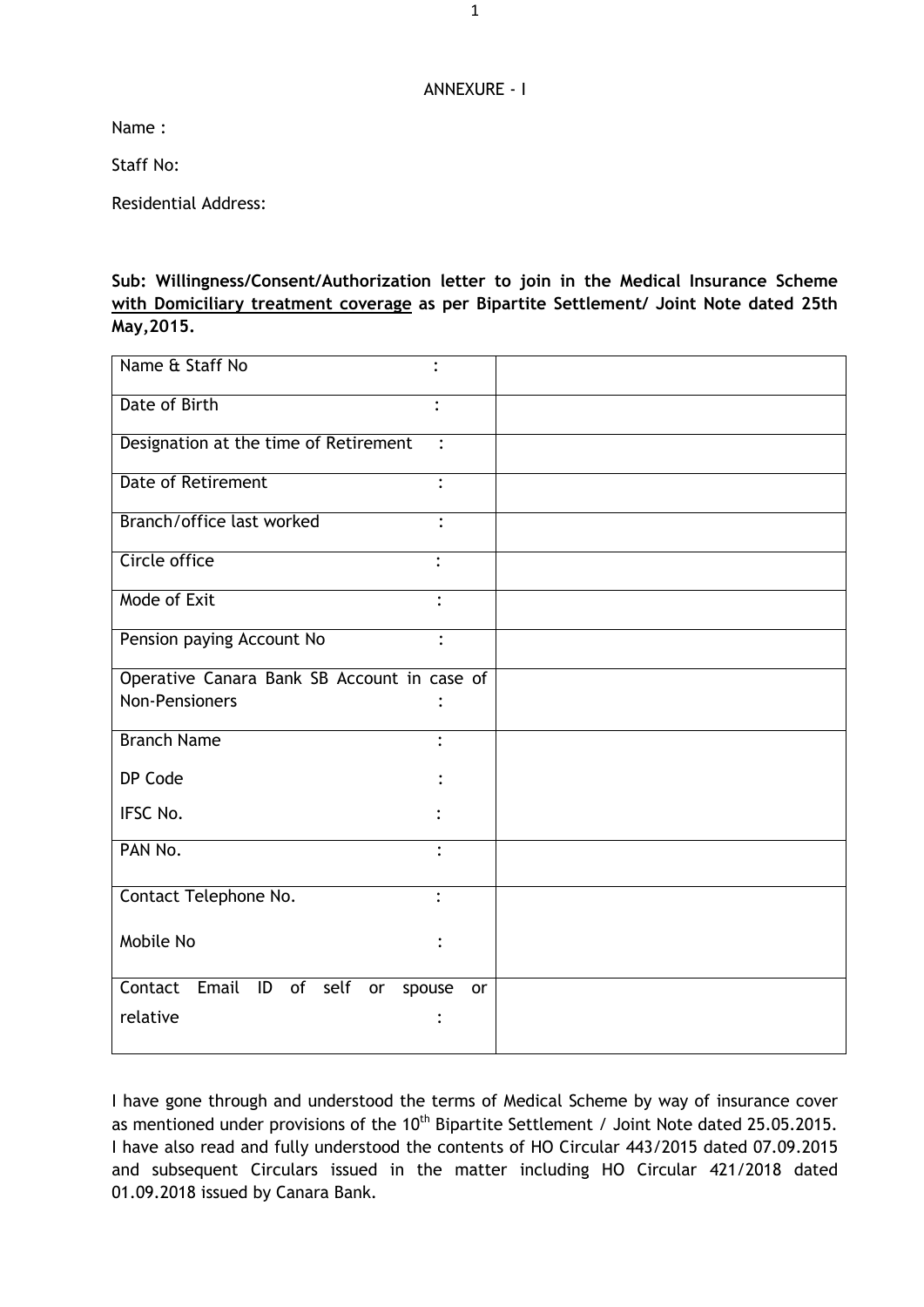## ANNEXURE - I

Name :

Staff No:

Residential Address:

**Sub: Willingness/Consent/Authorization letter to join in the Medical Insurance Scheme with Domiciliary treatment coverage as per Bipartite Settlement/ Joint Note dated 25th May,2015.**

| Name & Staff No<br>$\ddot{\cdot}$                       |    |
|---------------------------------------------------------|----|
| Date of Birth                                           |    |
| Designation at the time of Retirement<br>$\ddot{\cdot}$ |    |
| <b>Date of Retirement</b><br>$\bullet$                  |    |
| Branch/office last worked                               |    |
| Circle office<br>۰                                      |    |
| Mode of Exit<br>$\ddot{\cdot}$                          |    |
| Pension paying Account No<br>$\ddot{\cdot}$             |    |
| Operative Canara Bank SB Account in case of             |    |
| <b>Non-Pensioners</b>                                   |    |
| <b>Branch Name</b>                                      |    |
| DP Code                                                 |    |
| IFSC No.                                                |    |
| PAN No.<br>$\bullet$                                    |    |
| Contact Telephone No.<br>$\cdot$                        |    |
| Mobile No                                               |    |
| Contact<br>Email ID of self<br>spouse<br>or             | or |
| relative                                                |    |

I have gone through and understood the terms of Medical Scheme by way of insurance cover as mentioned under provisions of the 10<sup>th</sup> Bipartite Settlement / Joint Note dated 25.05.2015. I have also read and fully understood the contents of HO Circular 443/2015 dated 07.09.2015 and subsequent Circulars issued in the matter including HO Circular 421/2018 dated 01.09.2018 issued by Canara Bank.